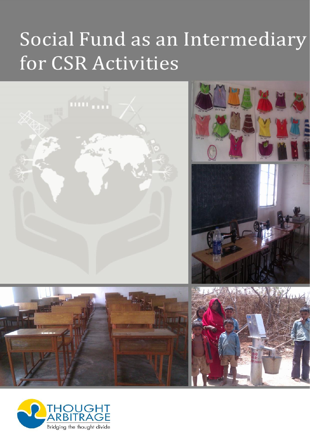# Social Fund as an Intermediary for CSR Activities



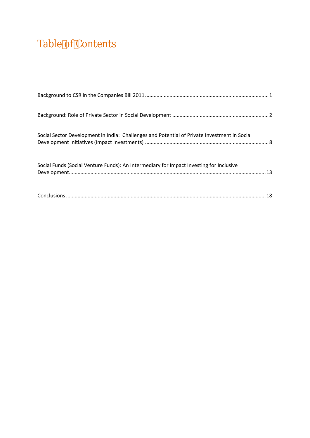[Background to CSR in the Companies Bill 201](#page-2-0) 1................................ .......................[..](#page-2-0)....... ...................... 1

Background: Role of Private Sector.in. Social.Development ..........

Social Sector Development in India: Chall he reses and directial of Indian Potential of [Development Initiatives \(Impact Investments\)](#page-9-0) ................................ .......................[..](#page-9-0)....... ...................... 8

[Social Funds \(Social Venture Funds\): An Intermed](#page-14-0)iary for Impact I Development [................................](#page-14-0) ................................ ................................ .................[...](#page-14-0)............ ......... 13

Conclusions ................................ ................................ [................................](#page-19-0) ..................[...](#page-19-0)........... ........... 18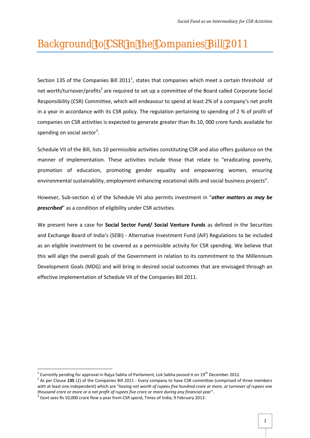# <span id="page-2-0"></span>Background to CSR in the Companies Bill 2011

Section 135 of the Companies Bill 2011<sup>1</sup>, states that companies which meet a certain threshold of net worth/turnover/profits<sup>2</sup> are required to set up a committee of the Board called Corporate Social Responsibility (CSR) Committee, which will endeavour to spend at least 2% of a company's net profit in a year in accordance with its CSR policy. The regulation pertaining to spending of 2 % of profit of companies on CSR activities is expected to generate greater than Rs 10, 000 crore funds available for spending on social sector<sup>3</sup>.

Schedule VII of the Bill, lists 10 permissible activities constituting CSR and also offers guidance on the manner of implementation. These activities include those that relate to "eradicating poverty, promotion of education, promoting gender equality and empowering women, ensuring environmental sustainability, employment enhancing vocational skills and social business projects".

However, Sub-section x) of the Schedule VII also permits investment in "*other matters as may be prescribed*" as a condition of eligibility under CSR activities.

We present here a case for **Social Sector Fund/ Social Venture Funds** as defined in the Securities and Exchange Board of India's (SEBI) - Alternative Investment Fund (AIF) Regulations to be included as an eligible investment to be covered as a permissible activity for CSR spending. We believe that this will align the overall goals of the Government in relation to its commitment to the Millennium Development Goals (MDG) and will bring in desired social outcomes that are envisaged through an effective implementation of Schedule VII of the Companies Bill 2011.

<sup>&</sup>lt;sup>1</sup> Currently pending for approval in Rajya Sabha of Parliament, Lok Sabha passed it on 19<sup>th</sup> December 2012.<br><sup>2</sup> As per Clause **135** (1) of the Companies Bill 2011 - Every company to have CSR committee (comprised of thre with at least one independent) which are "*having net worth of rupees five hundred crore or more, or turnover of rupees one thousand crore or more or a net profit of rupees five crore or more during any financial year".* 3 Govt sees Rs 10,000 crore flow a year from CSR spend, Times of India, 9 February 2013.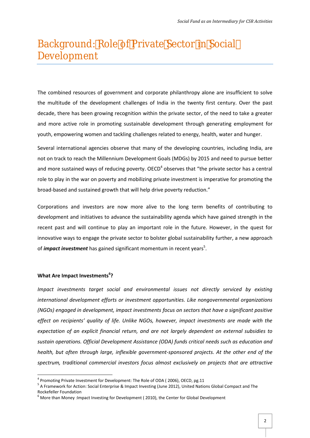# <span id="page-3-0"></span>Background: Role of Private Sector in Social Development

The combined resources of government and corporate philanthropy alone are insufficient to solve the multitude of the development challenges of India in the twenty first century. Over the past decade, there has been growing recognition within the private sector, of the need to take a greater and more active role in promoting sustainable development through generating employment for youth, empowering women and tackling challenges related to energy, health, water and hunger.

Several international agencies observe that many of the developing countries, including India, are not on track to reach the Millennium Development Goals (MDGs) by 2015 and need to pursue better and more sustained ways of reducing poverty. OECD<sup>4</sup> observes that "the private sector has a central role to play in the war on poverty and mobilizing private investment is imperative for promoting the broad-based and sustained growth that will help drive poverty reduction."

Corporations and investors are now more alive to the long term benefits of contributing to development and initiatives to advance the sustainability agenda which have gained strength in the recent past and will continue to play an important role in the future. However, in the quest for innovative ways to engage the private sector to bolster global sustainability further, a new approach of *impact investment* has gained significant momentum in recent years<sup>5</sup>.

#### **What Are Impact Investments<sup>6</sup>?**

*Impact investments target social and environmental issues not directly serviced by existing international development efforts or investment opportunities. Like nongovernmental organizations (NGOs) engaged in development, impact investments focus on sectors that have a significant positive effect on recipients' quality of life. Unlike NGOs, however, impact investments are made with the expectation of an explicit financial return, and are not largely dependent on external subsidies to sustain operations. Official Development Assistance (ODA) funds critical needs such as education and health, but often through large, inflexible government-sponsored projects. At the other end of the spectrum, traditional commercial investors focus almost exclusively on projects that are attractive*

<sup>&</sup>lt;sup>4</sup> Promoting Private Investment for Development: The Role of ODA (2006), OECD, pg.11

<sup>5</sup> A Framework for Action: Social Enterprise & Impact Investing (June 2012), United Nations Global Compact and The Rockefeller Foundation

 $6$  More than Money : Impact Investing for Development (2010), the Center for Global Development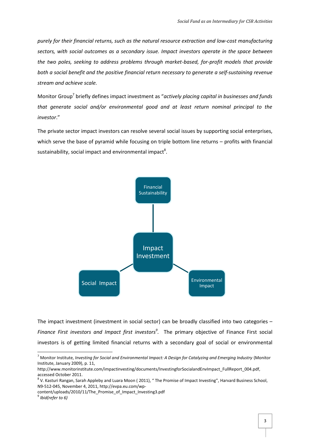*purely for their financial returns, such as the natural resource extraction and low-cost manufacturing sectors, with social outcomes as a secondary issue. Impact investors operate in the space between the two poles, seeking to address problems through market-based, for-profit models that provide both a social benefit and the positive financial return necessary to generate a self-sustaining revenue stream and achieve scale.*

Monitor Group<sup>7</sup> briefly defines impact investment as "*actively placing capital in businesses and funds that generate social and/or environmental good and at least return nominal principal to the investor*."

The private sector impact investors can resolve several social issues by supporting social enterprises, which serve the base of pyramid while focusing on triple bottom line returns – profits with financial sustainability, social impact and environmental impact<sup>8</sup>.



The impact investment (investment in social sector) can be broadly classified into two categories -*Finance First investors and Impact first investors<sup>9</sup> .* The primary objective of Finance First social investors is of getting limited financial returns with a secondary goal of social or environmental

<sup>7</sup> Monitor Institute, *Investing for Social and Environmental Impact: A Design for Catalyzing and Emerging Industry* (Monitor Institute, January 2009), p. 11,

http://www.monitorinstitute.com/impactinvesting/documents/InvestingforSocialandEnvImpact\_FullReport\_004.pdf,

accessed October 2011.<br><sup>8</sup> V. Kasturi Rangan, Sarah Appleby and Luara Moon ( 2011), " The Promise of Impact Investing", Harvard Business School, N9-512-045, November 4, 2011, http://evpa.eu.com/wp-

content/uploads/2010/11/The Promise of Impact Investing3.pdf

*Ibid(refer to 6)*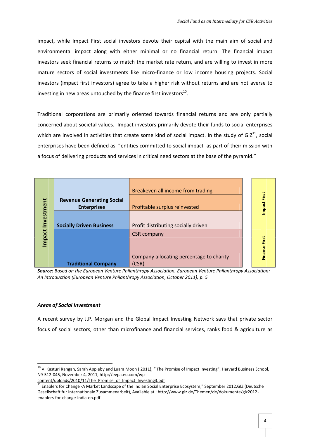$im$  pact, whiplact  $\overline{\mathbf{S}}$  of resital investors devotweit the imanimal apoited behocial and environmental impact alongimwathoeithoerfinnan Tchael frientaurronial impact investors fins ea en lcial rteortumraatsch hem ark reattee turann, oakrewilling in twoe isn ton ore  $m$  ature cts conferencial investmentian almice monic row income hosporsianing projection at  $m$ invest (omspact first investors a hagor be munictifist denubete uran so dare not averse to investors investors in a reasuntouched by the  $^1$   $\rm{G}$  inance first investors

Traditional ioconnepoeraet primarily orienimizend cited weertobennes napynadrtially concerned sao boot alues between pact inversion to a diely ote their funds to social enterprise of the social states of the social enterprise of the social enterprise of the social enterprise of the social enterprise of th which are invaccitvier dit heads createre kind of m psancitalln the study cotal GIZ entroprises have been enthologies and maisted to social impact as part of the  $\epsilon$ a focus of delivering products and seravticles brasseribitcal net pay od a smeight.or

| $\overline{1}$<br>ဖ<br>nve<br>♦                                                                                                                                                                                                                                                                                                                                                                                    | Revenue Generat<br>Enterprises                                                         | Breakeven all income from<br>Profitable surplus reinvest                                                                                                                                                                                                                                                                                                | Щ<br>Impact |  |  |  |  |  |
|--------------------------------------------------------------------------------------------------------------------------------------------------------------------------------------------------------------------------------------------------------------------------------------------------------------------------------------------------------------------------------------------------------------------|----------------------------------------------------------------------------------------|---------------------------------------------------------------------------------------------------------------------------------------------------------------------------------------------------------------------------------------------------------------------------------------------------------------------------------------------------------|-------------|--|--|--|--|--|
| Impact                                                                                                                                                                                                                                                                                                                                                                                                             |                                                                                        | Socialiyven Busin Profit distributing socially<br>CSR company<br>Company allocating percen                                                                                                                                                                                                                                                              | Ф<br>Financ |  |  |  |  |  |
| Traditional Con (CSR)<br>Sour Bæs endn theuropean Venture Philanthurp pe e Pess d'oeinatture Philanthropy Assot<br>An Introduteurroopean Venture Philanthropy Aspsoliation, October 2011),<br>Areas of Social Investment<br>A recent survey by J.P. Morgan and thNee Gwo osbakay that approxiated cat was ting<br>focuosf so osiead to rs, o thme ircto bainm an ofien aam odial searna klooseed, & a griacsulture |                                                                                        |                                                                                                                                                                                                                                                                                                                                                         |             |  |  |  |  |  |
|                                                                                                                                                                                                                                                                                                                                                                                                                    | N 951-2045, Noven2b9d mttp://evpa.eu-.com/wp<br>e n a b l-feor-is h a n-igned-iean.pdf | <sup>10</sup> V. Kasturi Rangan, Sarah Appleby and Luara Moon (2011), The Promise of Imp<br>content/uploads/2010/11/The_Promise_of_Impact_Investing3.pdf<br>$11$ Enablers for-AC Maam get Landscape of thep rinsde a Enc 8 oy sate nE n"teS reptember 2012, GIZ (D<br>Gesellschaft fur Internationale Zusammenarbeit), Available at : http://www.giz.de |             |  |  |  |  |  |

### Areas of Social Investment

 $10$ V. Kasturi Rangan, Sarah Appleby and Luara Moon (2011), The Promise of Imp N9512045, Novem2bd thttp://evpa.eu-.com/wp

[content/uploads/2010/11/The\\_Promise\\_](http://evpa.eu.com/wp-content/uploads/2010/11/The_Promise_of_Impact_Investing3.pdf)of\_Impact\_Investing3.pdf

 $11$ Enablers for AC Maam get Landscape of the prinsde a Enc & opsale n En"te Greptember 2012, GIZ (Deutscher 2012, GIZ (Deutscher Einheite Enter 2012, GIZ (Deutscher 2012, GIZ (Deutscher Einheite Einheite Einheite Einheit Gesellschaft fur Internationale Zusammenarbeit), Available at : http://www.giz.de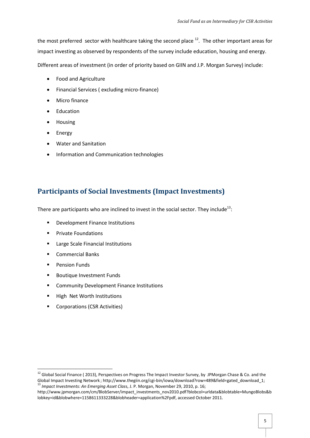the most preferred sector with healthcare taking the second place  $12$ . The other important areas for impact investing as observed by respondents of the survey include education, housing and energy.

Different areas of investment (in order of priority based on GIIN and J.P. Morgan Survey) include:

- Food and Agriculture
- Financial Services ( excluding micro-finance)
- Micro finance
- Education
- Housing
- Energy
- Water and Sanitation
- Information and Communication technologies

## **Participants of Social Investments (Impact Investments)**

There are participants who are inclined to invest in the social sector. They include<sup>13</sup>:

- **•** Development Finance Institutions
- **Private Foundations**
- **Large Scale Financial Institutions**
- **E** Commercial Banks
- **Pension Funds**
- **Boutique Investment Funds**
- **EXECOMMUNITY Development Finance Institutions**
- **High Net Worth Institutions**
- Corporations (CSR Activities)

<sup>&</sup>lt;sup>12</sup> Global Social Finance ( 2013), Perspectives on Progress The Impact Investor Survey, by JPMorgan Chase & Co. and the Global Impact Investing Network ; http://www.thegiin.org/cgi-bin/iowa/download?row=489&field=gated\_download\_1;<br><sup>13</sup> *Impact Investments: An Emerging Asset Class, J. P. Morgan, November 29, 2010, p. 16;* 

http://www.jpmorgan.com/cm/BlobServer/impact\_investments\_nov2010.pdf?blobcol=urldata&blobtable=MungoBlobs&b lobkey=id&blobwhere=1158611333228&blobheader=application%2Fpdf, accessed October 2011.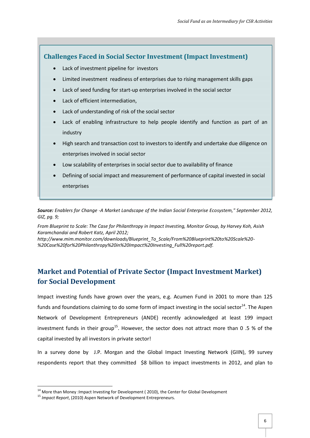## **Challenges Faced in Social Sector Investment (Impact Investment)**

- Lack of investment pipeline for investors
- Limited investment readiness of enterprises due to rising management skills gaps
- Lack of seed funding for start-up enterprises involved in the social sector
- Lack of efficient intermediation,
- Lack of understanding of risk of the social sector
- Lack of enabling infrastructure to help people identify and function as part of an industry
- High search and transaction cost to investors to identify and undertake due diligence on enterprises involved in social sector
- Low scalability of enterprises in social sector due to availability of finance
- Defining of social impact and measurement of performance of capital invested in social enterprises

*Source: Enablers for Change -A Market Landscape of the Indian Social Enterprise Ecosystem," September 2012, GIZ, pg. 9;*

*From Blueprint to Scale: The Case for Philanthropy in Impact Investing, Monitor Group, by Harvey Koh, Asish Karamchandai and Robert Katz, April 2012;*

*http://www.mim.monitor.com/downloads/Blueprint\_To\_Scale/From%20Blueprint%20to%20Scale%20- %20Case%20for%20Philanthropy%20in%20Impact%20Investing\_Full%20report.pdf.*

## **Market and Potential of Private Sector (Impact Investment Market) for Social Development**

Impact investing funds have grown over the years, e.g. Acumen Fund in 2001 to more than 125 funds and foundations claiming to do some form of impact investing in the social sector<sup>14</sup>. The Aspen Network of Development Entrepreneurs (ANDE) recently acknowledged at least 199 impact investment funds in their group<sup>15</sup>. However, the sector does not attract more than 0 .5 % of the capital invested by all investors in private sector!

In a survey done by J.P. Morgan and the Global Impact Investing Network (GIIN), 99 survey respondents report that they committed \$8 billion to impact investments in 2012, and plan to

<sup>&</sup>lt;sup>14</sup> More than Money :Impact Investing for Development ( 2010), the Center for Global Development <sup>15</sup> *Impact Report*, (2010) Aspen Network of Development Entrepreneurs.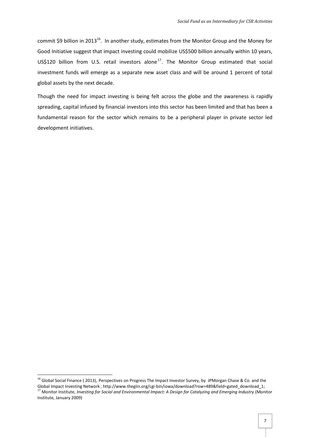commit \$9 billion in 2013<sup>16</sup>. In another study, estimates from the Monitor Group and the Money for Good Initiative suggest that impact investing could mobilize US\$500 billion annually within 10 years, US\$120 billion from U.S. retail investors alone<sup>17</sup>. The Monitor Group estimated that social investment funds will emerge as a separate new asset class and will be around 1 percent of total global assets by the next decade.

Though the need for impact investing is being felt across the globe and the awareness is rapidly spreading, capital infused by financial investors into this sector has been limited and that has been a fundamental reason for the sector which remains to be a peripheral player in private sector led development initiatives.

<sup>&</sup>lt;sup>16</sup> Global Social Finance (2013), Perspectives on Progress The Impact Investor Survey, by JPMorgan Chase & Co. and the<br>Global Impact Investing Network ; http://www.thegiin.org/cgi-bin/iowa/download?row=489&field=gated do <sup>17</sup> Monitor Institute, Investing for Social and Environmental Impact: A Design for Catalyzing and Emerging Industry (Monitor

Institute, January 2009)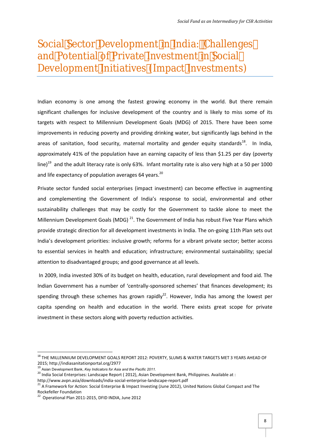# <span id="page-9-0"></span>Social Sector Development in India: Challenges and Potential of Private Investment in Social Development Initiatives (Impact Investments)

Indian economy is one among the fastest growing economy in the world. But there remain significant challenges for inclusive development of the country and is likely to miss some of its targets with respect to Millennium Development Goals (MDG) of 2015. There have been some improvements in reducing poverty and providing drinking water, but significantly lags behind in the areas of sanitation, food security, maternal mortality and gender equity standards<sup>18</sup>. In India, approximately 41% of the population have an earning capacity of less than \$1.25 per day (poverty line)<sup>19</sup> and the adult literacy rate is only 63%. Infant mortality rate is also very high at a 50 per 1000 and life expectancy of population averages 64 years. $^{20}$ 

Private sector funded social enterprises (impact investment) can become effective in augmenting and complementing the Government of India's response to social, environmental and other sustainability challenges that may be costly for the Government to tackle alone to meet the Millennium Development Goals (MDG)<sup>21</sup>. The Government of India has robust Five Year Plans which provide strategic direction for all development investments in India. The on-going 11th Plan sets out India's development priorities: inclusive growth; reforms for a vibrant private sector; better access to essential services in health and education; infrastructure; environmental sustainability; special attention to disadvantaged groups; and good governance at all levels.

In 2009, India invested 30% of its budget on health, education, rural development and food aid. The Indian Government has a number of 'centrally-sponsored schemes' that finances development; its spending through these schemes has grown rapidly<sup>22</sup>. However, India has among the lowest per capita spending on health and education in the world. There exists great scope for private investment in these sectors along with poverty reduction activities.

<sup>&</sup>lt;sup>18</sup> THE MILLENNIUM DEVELOPMENT GOALS REPORT 2012: POVERTY, SLUMS & WATER TARGETS MET 3 YEARS AHEAD OF 2015; http://indiasanitationportal.org/2977

<sup>19</sup> Asian Development Bank, *Key Indicators for Asia and the Pacific 2011.*

<sup>&</sup>lt;sup>20</sup> India Social Enterprises: Landscape Report (2012), Asian Development Bank, Philippines. Available at :

http://www.avpn.asia/downloads/india-social-enterprise-landscape-report.pdf<br><sup>21</sup> A Framework for Action: Social Enterprise & Impact Investing (June 2012), United Nations Global Compact and The Rockefeller Foundation

<sup>22</sup> Operational Plan 2011-2015, DFID INDIA, June 2012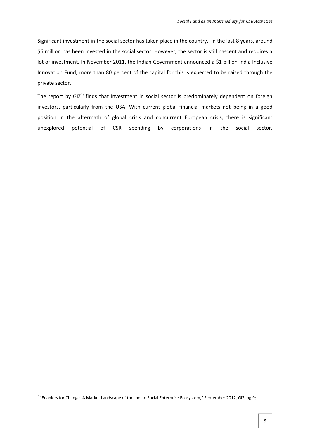Significant investment in the social sector has taken place in the country. In the last 8 years, around \$6 million has been invested in the social sector. However, the sector is still nascent and requires a lot of investment. In November 2011, the Indian Government announced a \$1 billion India Inclusive Innovation Fund; more than 80 percent of the capital for this is expected to be raised through the private sector.

The report by  $GIZ<sup>23</sup>$  finds that investment in social sector is predominately dependent on foreign investors, particularly from the USA. With current global financial markets not being in a good position in the aftermath of global crisis and concurrent European crisis, there is significant unexplored potential of CSR spending by corporations in the social sector.

<sup>&</sup>lt;sup>23</sup> Enablers for Change -A Market Landscape of the Indian Social Enterprise Ecosystem," September 2012, GIZ, pg.9;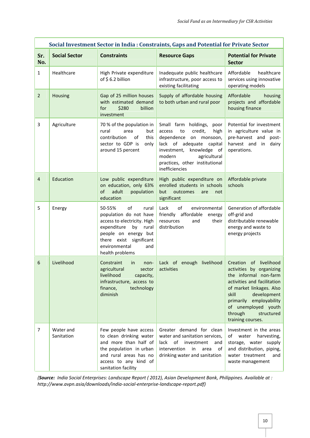| Social Investment Sector in India : Constraints, Gaps and Potential for Private Sector |                         |                                                                                                                                                                                                         |                                                                                                                                                                                                                                 |                                                                                                                                                                                                                                                                |  |  |
|----------------------------------------------------------------------------------------|-------------------------|---------------------------------------------------------------------------------------------------------------------------------------------------------------------------------------------------------|---------------------------------------------------------------------------------------------------------------------------------------------------------------------------------------------------------------------------------|----------------------------------------------------------------------------------------------------------------------------------------------------------------------------------------------------------------------------------------------------------------|--|--|
| Sr.<br>No.                                                                             | <b>Social Sector</b>    | <b>Constraints</b>                                                                                                                                                                                      | <b>Resource Gaps</b>                                                                                                                                                                                                            | <b>Potential for Private</b><br><b>Sector</b>                                                                                                                                                                                                                  |  |  |
| $\mathbf{1}$                                                                           | Healthcare              | High Private expenditure<br>of \$6.2 billion                                                                                                                                                            | Inadequate public healthcare<br>infrastructure, poor access to<br>existing facilitating                                                                                                                                         | Affordable<br>healthcare<br>services using innovative<br>operating models                                                                                                                                                                                      |  |  |
| $\overline{2}$                                                                         | Housing                 | Gap of 25 million houses<br>with estimated demand<br>\$280<br>billion<br>for<br>investment                                                                                                              | Supply of affordable housing<br>to both urban and rural poor                                                                                                                                                                    | Affordable<br>housing<br>projects and affordable<br>housing finance                                                                                                                                                                                            |  |  |
| 3                                                                                      | Agriculture             | 70 % of the population in<br>rural<br>area<br>but<br>contribution<br>of<br>this<br>sector to GDP is<br>only<br>around 15 percent                                                                        | Small farm holdings,<br>poor<br>to<br>credit,<br>high<br>access<br>dependence on monsoon,<br>lack of adequate capital<br>investment, knowledge of<br>modern<br>agricultural<br>practices, other institutional<br>inefficiencies | Potential for investment<br>in agriculture value in<br>pre-harvest and post-<br>harvest and in dairy<br>operations.                                                                                                                                            |  |  |
| $\overline{4}$                                                                         | Education               | Low public expenditure<br>on education, only 63%<br>adult<br>population<br>of<br>education                                                                                                              | High public expenditure on<br>enrolled students in schools<br>but outcomes<br>are<br>not<br>significant                                                                                                                         | Affordable private<br>schools                                                                                                                                                                                                                                  |  |  |
| 5                                                                                      | Energy                  | of<br>50-55%<br>rural<br>population do not have<br>access to electricity. High<br>expenditure<br>by rural<br>people on energy but<br>there exist significant<br>environmental<br>and<br>health problems | of<br>Lack<br>environmental<br>friendly affordable<br>energy<br>resources<br>and<br>their<br>distribution                                                                                                                       | Generation of affordable<br>off-grid and<br>distributable renewable<br>energy and waste to<br>energy projects                                                                                                                                                  |  |  |
| 6                                                                                      | Livelihood              | Constraint<br>in<br>non-<br>agricultural<br>sector<br>livelihood<br>capacity,<br>infrastructure, access to<br>finance,<br>technology<br>diminish                                                        | Lack of enough livelihood<br>activities                                                                                                                                                                                         | Creation of livelihood<br>activities by organizing<br>the informal non-farm<br>activities and facilitation<br>of market linkages. Also<br>skill<br>development<br>primarily employability<br>of unemployed youth<br>through<br>structured<br>training courses. |  |  |
| 7                                                                                      | Water and<br>Sanitation | Few people have access<br>to clean drinking water<br>and more than half of<br>the population in urban<br>and rural areas has no<br>access to any kind of<br>sanitation facility                         | Greater demand for clean<br>water and sanitation services,<br>of<br>lack<br>investment<br>and<br>intervention<br>in<br>area<br>0f<br>drinking water and sanitation                                                              | Investment in the areas<br>of water<br>harvesting,<br>storage, water supply<br>and distribution, piping,<br>water treatment<br>and<br>waste management                                                                                                         |  |  |

*(Source: India Social Enterprises: Landscape Report ( 2012), Asian Development Bank, Philippines. Available at : http://www.avpn.asia/downloads/india-social-enterprise-landscape-report.pdf)*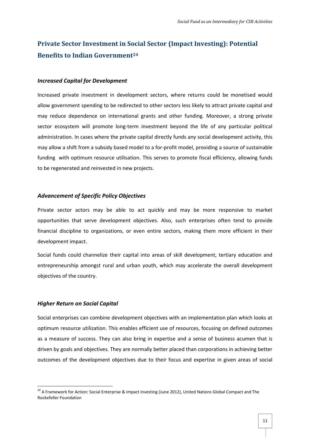## **Private Sector Investment in Social Sector (Impact Investing): Potential Benefits to Indian Government<sup>24</sup>**

#### *Increased Capital for Development*

Increased private investment in development sectors, where returns could be monetised would allow government spending to be redirected to other sectors less likely to attract private capital and may reduce dependence on international grants and other funding. Moreover, a strong private sector ecosystem will promote long-term investment beyond the life of any particular political administration. In cases where the private capital directly funds any social development activity, this may allow a shift from a subsidy based model to a for-profit model, providing a source of sustainable funding with optimum resource utilisation. This serves to promote fiscal efficiency, allowing funds to be regenerated and reinvested in new projects.

#### *Advancement of Specific Policy Objectives*

Private sector actors may be able to act quickly and may be more responsive to market opportunities that serve development objectives. Also, such enterprises often tend to provide financial discipline to organizations, or even entire sectors, making them more efficient in their development impact.

Social funds could channelize their capital into areas of skill development, tertiary education and entrepreneurship amongst rural and urban youth, which may accelerate the overall development objectives of the country.

#### *Higher Return on Social Capital*

Social enterprises can combine development objectives with an implementation plan which looks at optimum resource utilization. This enables efficient use of resources, focusing on defined outcomes as a measure of success. They can also bring in expertise and a sense of business acumen that is driven by goals and objectives. They are normally better placed than corporations in achieving better outcomes of the development objectives due to their focus and expertise in given areas of social

<sup>&</sup>lt;sup>24</sup> A Framework for Action: Social Enterprise & Impact Investing (June 2012), United Nations Global Compact and The Rockefeller Foundation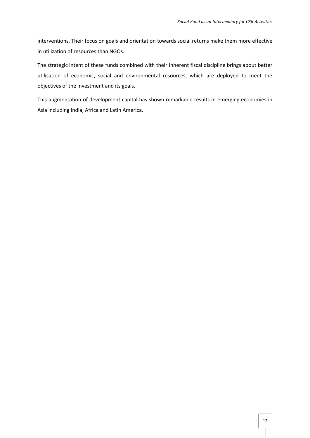interventions. Their focus on goals and orientation towards social returns make them more effective in utilization of resources than NGOs.

The strategic intent of these funds combined with their inherent fiscal discipline brings about better utilisation of economic, social and environmental resources, which are deployed to meet the objectives of the investment and its goals.

This augmentation of development capital has shown remarkable results in emerging economies in Asia including India, Africa and Latin America.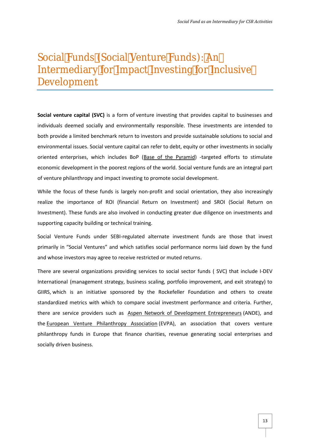# <span id="page-14-0"></span>Social Funds (Social Venture FundsAn Intermediary for Impact Investing for Inclusive Development

Social venture S of Cappait fad rm veo fiture in vthen timp grovides capital and busines individ**dee**smed socially and environmentally responseimodeed Tholese in both provide a limit**ed tubeon chmores anthod** sprosvui**s t**ainsadollue tions to social an environmentsal Sissui al venture capital can o their to vobestime endisity soci oriented enterprises, whi**c**Bhasien colud the Bondara ( net fito stimulate economic development in the pooreSectialgiven retoure almembergand all part o[fventure phil](http://en.wikipedia.org/wiki/Venture_philanthropy)ante than pact investing on the social development

While the oftolorese funds is largely non direl orientatailosmo, it monetally a sing realize the importance of ROI (financial Ret $(G\hat{S})$  acion Return ont) Investment). These funds acroen dattisroging web at real due individence the nand supporting capacity or technical training.

Social Ve $F$ nuturdes underreg $S$ uEtaBtled alternate fuinds stamineesmiehat invest primarily in Social Ventures and which satisfies social performa and whose investors may agree to receive restricted or muted retu

There averaste orgian in a providing sector at essectos of rSYL 60 that -DECV ude I International agement strategy, business scaling, portfolio improve GIIRNShich is an initiative sponsored by the anRolock too beards the oundation of an and  $\epsilon$ standardized mexthicsh woithcompare social foinmanastme entide periteria. Further and containt and criteria. Fur there are service provissioners sullection and of Development DE Entrepreneurs (ANN DE) are service provisioners th<u>eEuroapne Venture Philanthrop</u>ty PAAs, p caantioans sociation that cover philanthropy funds in Europe that finance charities, revenue ge socially driven business.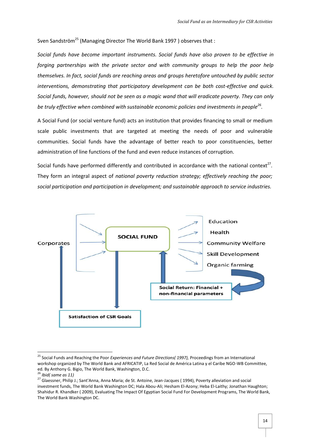Sven Sandström<sup>25</sup> (Managing Director The World Bank 1997) observes that :

*Social funds have become important instruments. Social funds have also proven to be effective in forging partnerships with the private sector and with community groups to help the poor help themselves. In fact, social funds are reaching areas and groups heretofore untouched by public sector interventions, demonstrating that participatory development can be both cost-effective and quick. Social funds, however, should not be seen as a magic wand that will eradicate poverty. They can only be truly effective when combined with sustainable economic policies and investments in people<sup>26</sup> .*

A Social Fund (or social venture fund) acts an institution that provides financing to small or medium scale public investments that are targeted at meeting the needs of poor and vulnerable communities. Social funds have the advantage of better reach to poor constituencies, better administration of line functions of the fund and even reduce instances of corruption.

Social funds have performed differently and contributed in accordance with the national context<sup>27</sup>. They form an integral aspect of *national poverty reduction strategy; effectively reaching the poor; social participation and participation in development; and sustainable approach to service industries.*



<sup>25</sup> Social Funds and Reaching the Poor *Experiences and Future Directions( 1997),* Proceedings from an International workshop organized by The World Bank and AFRICATIP, La Red Social de América Latina y el Caribe NGO-WB Committee, ed. By Anthony G. Bigio, The World Bank, Washington, D.C. <sup>26</sup> *Ibid( same as 11)*

<sup>&</sup>lt;sup>27</sup> Glaessner, Philip J.; Sant'Anna, Anna Maria; de St. Antoine, Jean-Jacques (1994), Poverty alleviation and social investment funds, The World Bank Washington DC; Hala Abou-Ali; Hesham El-Azony; Heba El-Laithy; Jonathan Haughton; Shahidur R. Khandker ( 2009), Evaluating The Impact Of Egyptian Social Fund For Development Programs, The World Bank, The World Bank Washington DC.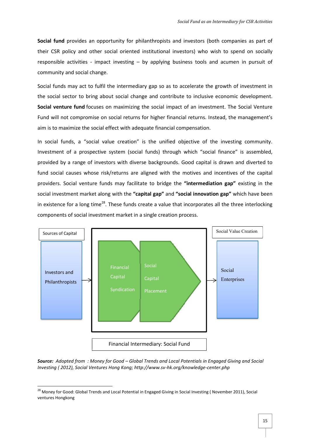**Social fund** provides an opportunity for philanthropists and investors (both companies as part of their CSR policy and other social oriented institutional investors) who wish to spend on socially responsible activities - impact investing – by applying business tools and acumen in pursuit of community and social change.

Social funds may act to fulfil the intermediary gap so as to accelerate the growth of investment in the social sector to bring about social change and contribute to inclusive economic development. **Social venture fund** focuses on maximizing the social impact of an investment. The Social Venture Fund will not compromise on social returns for higher financial returns. Instead, the management's aim is to maximize the social effect with adequate financial compensation.

In social funds, a "social value creation" is the unified objective of the investing community. Investment of a prospective system (social funds) through which "social finance" is assembled, provided by a range of investors with diverse backgrounds. Good capital is drawn and diverted to fund social causes whose risk/returns are aligned with the motives and incentives of the capital providers. Social venture funds may facilitate to bridge the **"intermediation gap"** existing in the social investment market along with the **"capital gap"** and **"social innovation gap"** which have been in existence for a long time<sup>28</sup>. These funds create a value that incorporates all the three interlocking components of social investment market in a single creation process.



*Source: Adopted from : Money for Good – Global Trends and Local Potentials in Engaged Giving and Social Investing ( 2012), Social Ventures Hong Kong; http://www.sv-hk.org/knowledge-center.php*

<sup>&</sup>lt;sup>28</sup> Money for Good: Global Trends and Local Potential in Engaged Giving in Social Investing (November 2011), Social ventures Hongkong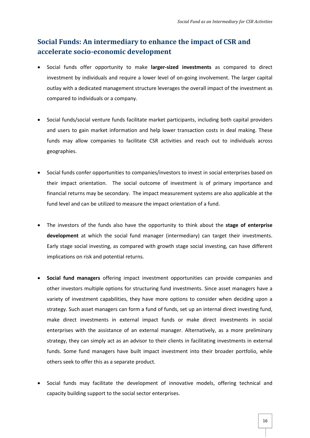## **Social Funds: An intermediary to enhance the impact of CSR and accelerate socio-economic development**

- Social funds offer opportunity to make **larger-sized investments** as compared to direct investment by individuals and require a lower level of on-going involvement. The larger capital outlay with a dedicated management structure leverages the overall impact of the investment as compared to individuals or a company.
- Social funds/social venture funds facilitate market participants, including both capital providers and users to gain market information and help lower transaction costs in deal making. These funds may allow companies to facilitate CSR activities and reach out to individuals across geographies.
- Social funds confer opportunities to companies/investors to invest in social enterprises based on their impact orientation. The social outcome of investment is of primary importance and financial returns may be secondary. The impact measurement systems are also applicable at the fund level and can be utilized to measure the impact orientation of a fund.
- The investors of the funds also have the opportunity to think about the **stage of enterprise development** at which the social fund manager (intermediary) can target their investments. Early stage social investing, as compared with growth stage social investing, can have different implications on risk and potential returns.
- **Social fund managers** offering impact investment opportunities can provide companies and other investors multiple options for structuring fund investments. Since asset managers have a variety of investment capabilities, they have more options to consider when deciding upon a strategy. Such asset managers can form a fund of funds, set up an internal direct investing fund, make direct investments in external impact funds or make direct investments in social enterprises with the assistance of an external manager. Alternatively, as a more preliminary strategy, they can simply act as an advisor to their clients in facilitating investments in external funds. Some fund managers have built impact investment into their broader portfolio, while others seek to offer this as a separate product.
- Social funds may facilitate the development of innovative models, offering technical and capacity building support to the social sector enterprises.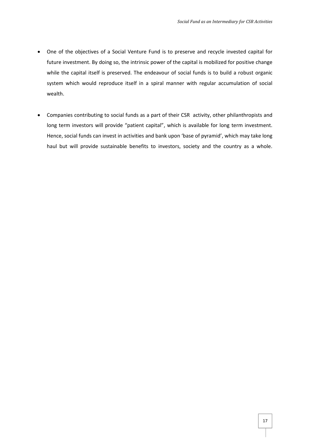- One of the objectives of a Social Venture Fund is to preserve and recycle invested capital for future investment. By doing so, the intrinsic power of the capital is mobilized for positive change while the capital itself is preserved. The endeavour of social funds is to build a robust organic system which would reproduce itself in a spiral manner with regular accumulation of social wealth.
- Companies contributing to social funds as a part of their CSR activity, other philanthropists and long term investors will provide "patient capital", which is available for long term investment. Hence, social funds can invest in activities and bank upon 'base of pyramid', which may take long haul but will provide sustainable benefits to investors, society and the country as a whole.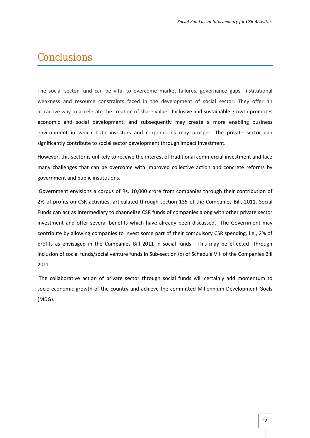## <span id="page-19-0"></span>**Conclusions**

The social sector fund can be vital to overcome market failures, governance gaps, institutional weakness and resource constraints faced in the development of social sector. They offer an attractive way to accelerate the creation of share value. Inclusive and sustainable growth promotes economic and social development, and subsequently may create a more enabling business environment in which both investors and corporations may prosper. The private sector can significantly contribute to social sector development through impact investment.

However, this sector is unlikely to receive the interest of traditional commercial investment and face many challenges that can be overcome with improved collective action and concrete reforms by government and public institutions.

Government envisions a corpus of Rs. 10,000 crore from companies through their contribution of 2% of profits on CSR activities, articulated through section 135 of the Companies Bill, 2011. Social Funds can act as intermediary to channelize CSR funds of companies along with other private sector investment and offer several benefits which have already been discussed. The Government may contribute by allowing companies to invest some part of their compulsory CSR spending, i.e., 2% of profits as envisaged in the Companies Bill 2011 in social funds. This may be effected through inclusion of social funds/social venture funds in Sub-section (x) of Schedule VII of the Companies Bill 2011.

The collaborative action of private sector through social funds will certainly add momentum to socio-economic growth of the country and achieve the committed Millennium Development Goals (MDG).